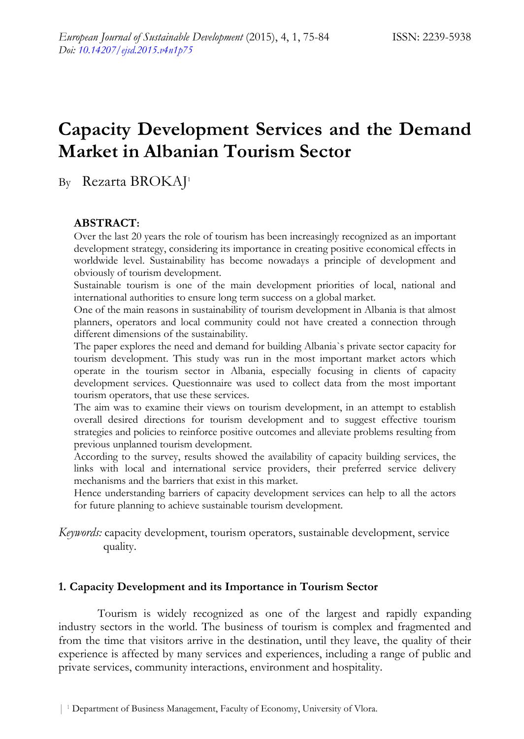# **Capacity Development Services and the Demand Market in Albanian Tourism Sector**

By Rezarta BROKAJ<sup>1</sup>

## **ABSTRACT:**

Over the last 20 years the role of tourism has been increasingly recognized as an important development strategy, considering its importance in creating positive economical effects in worldwide level. Sustainability has become nowadays a principle of development and obviously of tourism development.

Sustainable tourism is one of the main development priorities of local, national and international authorities to ensure long term success on a global market.

One of the main reasons in sustainability of tourism development in Albania is that almost planners, operators and local community could not have created a connection through different dimensions of the sustainability.

The paper explores the need and demand for building Albania`s private sector capacity for tourism development. This study was run in the most important market actors which operate in the tourism sector in Albania, especially focusing in clients of capacity development services. Questionnaire was used to collect data from the most important tourism operators, that use these services.

The aim was to examine their views on tourism development, in an attempt to establish overall desired directions for tourism development and to suggest effective tourism strategies and policies to reinforce positive outcomes and alleviate problems resulting from previous unplanned tourism development.

According to the survey, results showed the availability of capacity building services, the links with local and international service providers, their preferred service delivery mechanisms and the barriers that exist in this market.

Hence understanding barriers of capacity development services can help to all the actors for future planning to achieve sustainable tourism development.

*Keywords:* capacity development, tourism operators, sustainable development, service quality.

## **1. Capacity Development and its Importance in Tourism Sector**

Tourism is widely recognized as one of the largest and rapidly expanding industry sectors in the world. The business of tourism is complex and fragmented and from the time that visitors arrive in the destination, until they leave, the quality of their experience is affected by many services and experiences, including a range of public and private services, community interactions, environment and hospitality.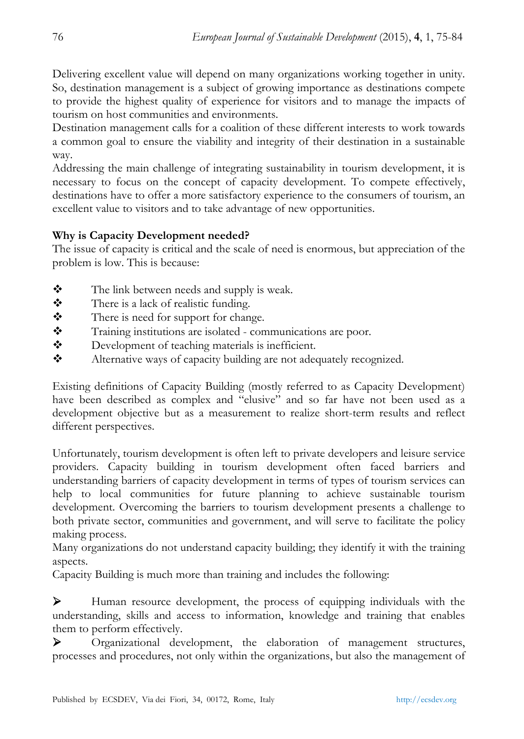Delivering excellent value will depend on many organizations working together in unity. So, destination management is a subject of growing importance as destinations compete to provide the highest quality of experience for visitors and to manage the impacts of tourism on host communities and environments.

Destination management calls for a coalition of these different interests to work towards a common goal to ensure the viability and integrity of their destination in a sustainable way.

Addressing the main challenge of integrating sustainability in tourism development, it is necessary to focus on the concept of capacity development. To compete effectively, destinations have to offer a more satisfactory experience to the consumers of tourism, an excellent value to visitors and to take advantage of new opportunities.

## **Why is Capacity Development needed?**

The issue of capacity is critical and the scale of need is enormous, but appreciation of the problem is low. This is because:

- $\mathbf{\hat{\cdot}}$  The link between needs and supply is weak.
- \* There is a lack of realistic funding.
- There is need for support for change.
- \* Training institutions are isolated communications are poor.
- ◆ Development of teaching materials is inefficient.
- \* Alternative ways of capacity building are not adequately recognized.

Existing definitions of Capacity Building (mostly referred to as Capacity Development) have been described as complex and "elusive" and so far have not been used as a development objective but as a measurement to realize short-term results and reflect different perspectives.

Unfortunately, tourism development is often left to private developers and leisure service providers. Capacity building in tourism development often faced barriers and understanding barriers of capacity development in terms of types of tourism services can help to local communities for future planning to achieve sustainable tourism development. Overcoming the barriers to tourism development presents a challenge to both private sector, communities and government, and will serve to facilitate the policy making process.

Many organizations do not understand capacity building; they identify it with the training aspects.

Capacity Building is much more than training and includes the following:

¾ Human resource development, the process of equipping individuals with the understanding, skills and access to information, knowledge and training that enables them to perform effectively.

¾ Organizational development, the elaboration of management structures, processes and procedures, not only within the organizations, but also the management of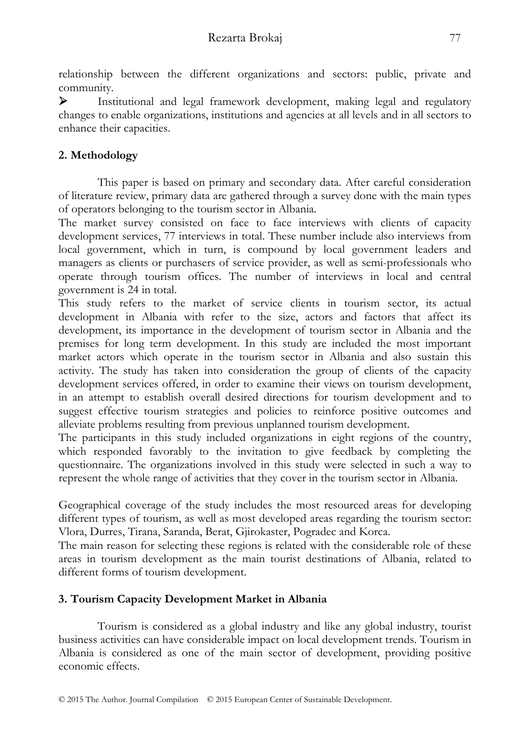relationship between the different organizations and sectors: public, private and community.

¾ Institutional and legal framework development, making legal and regulatory changes to enable organizations, institutions and agencies at all levels and in all sectors to enhance their capacities.

## **2. Methodology**

This paper is based on primary and secondary data. After careful consideration of literature review, primary data are gathered through a survey done with the main types of operators belonging to the tourism sector in Albania.

The market survey consisted on face to face interviews with clients of capacity development services, 77 interviews in total. These number include also interviews from local government, which in turn, is compound by local government leaders and managers as clients or purchasers of service provider, as well as semi-professionals who operate through tourism offices. The number of interviews in local and central government is 24 in total.

This study refers to the market of service clients in tourism sector, its actual development in Albania with refer to the size, actors and factors that affect its development, its importance in the development of tourism sector in Albania and the premises for long term development. In this study are included the most important market actors which operate in the tourism sector in Albania and also sustain this activity. The study has taken into consideration the group of clients of the capacity development services offered, in order to examine their views on tourism development, in an attempt to establish overall desired directions for tourism development and to suggest effective tourism strategies and policies to reinforce positive outcomes and alleviate problems resulting from previous unplanned tourism development.

The participants in this study included organizations in eight regions of the country, which responded favorably to the invitation to give feedback by completing the questionnaire. The organizations involved in this study were selected in such a way to represent the whole range of activities that they cover in the tourism sector in Albania.

Geographical coverage of the study includes the most resourced areas for developing different types of tourism, as well as most developed areas regarding the tourism sector: Vlora, Durres, Tirana, Saranda, Berat, Gjirokaster, Pogradec and Korca.

The main reason for selecting these regions is related with the considerable role of these areas in tourism development as the main tourist destinations of Albania, related to different forms of tourism development.

## **3. Tourism Capacity Development Market in Albania**

Tourism is considered as a global industry and like any global industry, tourist business activities can have considerable impact on local development trends. Tourism in Albania is considered as one of the main sector of development, providing positive economic effects.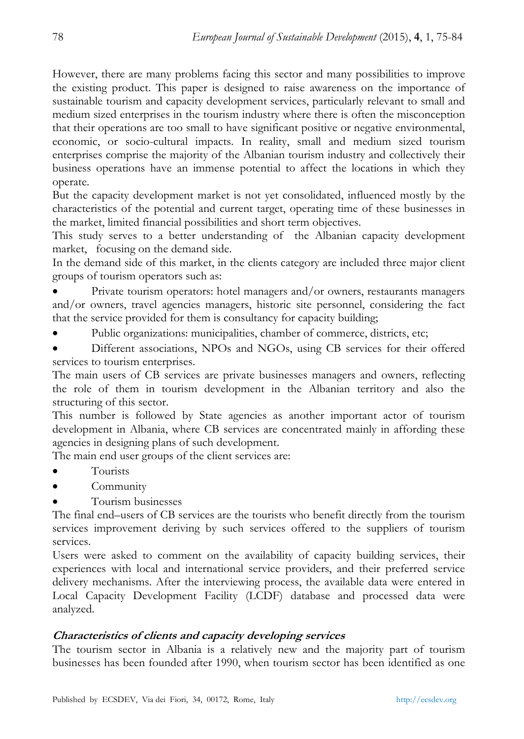However, there are many problems facing this sector and many possibilities to improve the existing product. This paper is designed to raise awareness on the importance of sustainable tourism and capacity development services, particularly relevant to small and medium sized enterprises in the tourism industry where there is often the misconception that their operations are too small to have significant positive or negative environmental, economic, or socio-cultural impacts. In reality, small and medium sized tourism enterprises comprise the majority of the Albanian tourism industry and collectively their business operations have an immense potential to affect the locations in which they operate.

But the capacity development market is not yet consolidated, influenced mostly by the characteristics of the potential and current target, operating time of these businesses in the market, limited financial possibilities and short term objectives.

This study serves to a better understanding of the Albanian capacity development market, focusing on the demand side.

In the demand side of this market, in the clients category are included three major client groups of tourism operators such as:

• Private tourism operators: hotel managers and/or owners, restaurants managers and/or owners, travel agencies managers, historic site personnel, considering the fact that the service provided for them is consultancy for capacity building;

- Public organizations: municipalities, chamber of commerce, districts, etc;
- Different associations, NPOs and NGOs, using CB services for their offered services to tourism enterprises.

The main users of CB services are private businesses managers and owners, reflecting the role of them in tourism development in the Albanian territory and also the structuring of this sector.

This number is followed by State agencies as another important actor of tourism development in Albania, where CB services are concentrated mainly in affording these agencies in designing plans of such development.

The main end user groups of the client services are:

- Tourists
- **Community**
- Tourism businesses

The final end–users of CB services are the tourists who benefit directly from the tourism services improvement deriving by such services offered to the suppliers of tourism services.

Users were asked to comment on the availability of capacity building services, their experiences with local and international service providers, and their preferred service delivery mechanisms. After the interviewing process, the available data were entered in Local Capacity Development Facility (LCDF) database and processed data were analyzed.

## **Characteristics of clients and capacity developing services**

The tourism sector in Albania is a relatively new and the majority part of tourism businesses has been founded after 1990, when tourism sector has been identified as one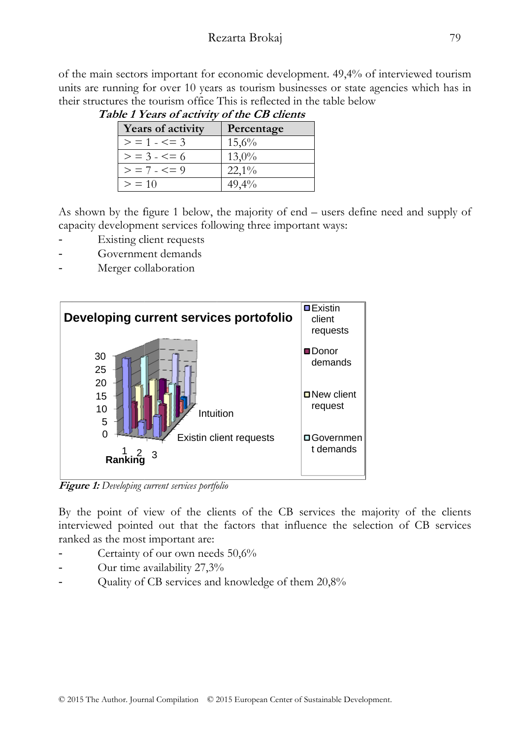of the main sectors important for economic development. 49,4% of interviewed tourism units are running for over 10 years as tourism businesses or state agencies which has in their structures the tourism office This is reflected in the table below 79<br>
6 of interviewed tourist<br>
te agencies which has i<br>
efine need and supply<br>
of<br>
efine need and supply<br>
of<br>
and supply<br>
of<br>  $\frac{1}{2}$ 

| <b>Years of activity</b> | Percentage |
|--------------------------|------------|
| $>$ = 1 - $\le$ = 3      | 15,6%      |
| $>$ = 3 - $\leq$ = 6     | $13,0\%$   |
| $>$ = 7 $\le$ $=$ 9      | $22,1\%$   |
| > 10                     | 49,4%      |

**Table 1 Years of activity of the CB clients** 

As shown by the figure 1 below, the majority of end - users define need and supply of capacity development services following three important ways:

- Existing client requests
- Government demands
- Merger co llaboration



**Fig gure 1:** *Developing c current services portfo folio*

By the point of view of the clients of the CB services the majority of the clients interviewed pointed out that the factors that influence the selection of CB services ranked as the most important are:

- Certainty of our own needs 50,6%
- Our time a availability 27,3%
- Our time availability 27,3%<br>Quality of CB services and knowledge of them 20,8%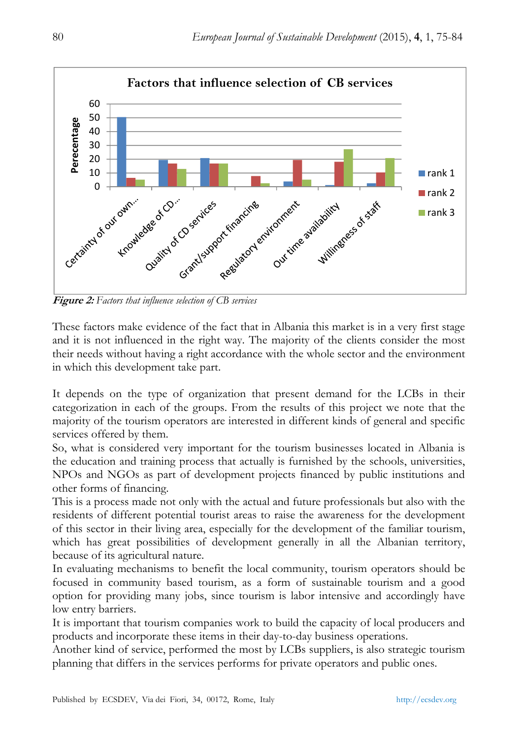

These factors make evidence of the fact that in Albania this market is in a very first stage and it is not influenced in the right way. The majority of the clients consider the most their needs without having a right accordance with the whole sector and the environment in which this development take part.

It depends on the type of organization that present demand for the LCBs in their categorization in each of the groups. From the results of this project we note that the majority of the tourism operators are interested in different kinds of general and specific services offered by them.

So, what is considered very important for the tourism businesses located in Albania is the education and training process that actually is furnished by the schools, universities, NPOs and NGOs as part of development projects financed by public institutions and other forms of financing.

This is a process made not only with the actual and future professionals but also with the residents of different potential tourist areas to raise the awareness for the development of this sector in their living area, especially for the development of the familiar tourism, which has great possibilities of development generally in all the Albanian territory, because of its agricultural nature.

In evaluating mechanisms to benefit the local community, tourism operators should be focused in community based tourism, as a form of sustainable tourism and a good option for providing many jobs, since tourism is labor intensive and accordingly have low entry barriers.

It is important that tourism companies work to build the capacity of local producers and products and incorporate these items in their day-to-day business operations.

Another kind of service, performed the most by LCBs suppliers, is also strategic tourism planning that differs in the services performs for private operators and public ones.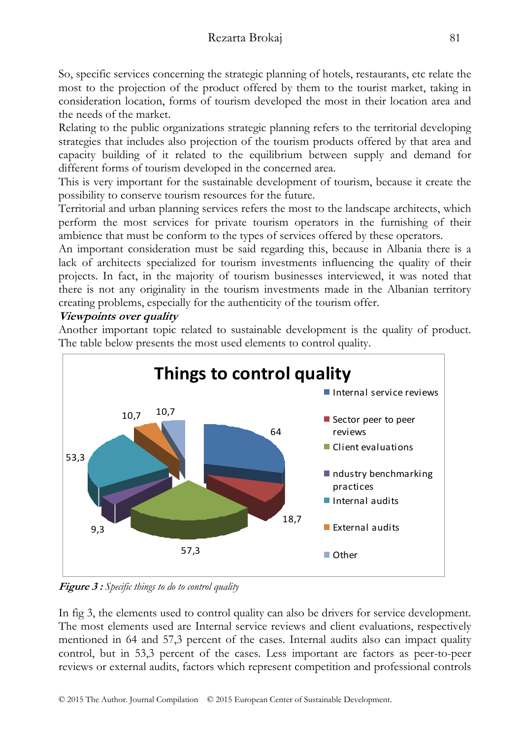So, specific services concerning the strategic planning of hotels, restaurants, etc relate the most to the projection of the product offered by them to the tourist market, taking in consideration location, forms of tourism developed the most in their location area and the needs of the market.

Relating to the public organizations strategic planning refers to the territorial developing strategies that includes also projection of the tourism products offered by that area and capacity building of it related to the equilibrium between supply and demand for different forms of tourism developed in the concerned area.

This is very important for the sustainable development of tourism, because it create the possibility to conserve tourism resources for the future.

Territorial and urban planning services refers the most to the landscape architects, which perform the most services for private tourism operators in the furnishing of their ambience that must be conform to the types of services offered by these operators.

An important consideration must be said regarding this, because in Albania there is a lack of architects specialized for tourism investments influencing the quality of their projects. In fact, in the majority of tourism businesses interviewed, it was noted that there is not any originality in the tourism investments made in the Albanian territory creating problems, especially for the authenticity of the tourism offer.

## **Viewpoints over quality**

Another important topic related to sustainable development is the quality of product. The table below presents the most used elements to control quality.



**Figure 3 :** *Specific things to do to control quality* 

In fig 3, the elements used to control quality can also be drivers for service development. The most elements used are Internal service reviews and client evaluations, respectively mentioned in 64 and 57,3 percent of the cases. Internal audits also can impact quality control, but in 53,3 percent of the cases. Less important are factors as peer-to-peer reviews or external audits, factors which represent competition and professional controls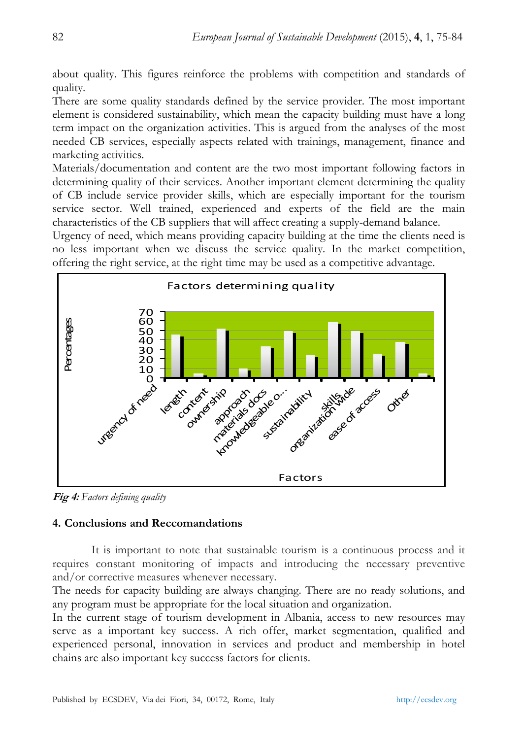about quality. This figures reinforce the problems with competition and standards of quality.

There are some quality standards defined by the service provider. The most important element is considered sustainability, which mean the capacity building must have a long term impact on the organization activities. This is argued from the analyses of the most needed CB services, especially aspects related with trainings, management, finance and marketing activities.

Materials/documentation and content are the two most important following factors in determining quality of their services. Another important element determining the quality of CB include service provider skills, which are especially important for the tourism service sector. Well trained, experienced and experts of the field are the main characteristics of the CB suppliers that will affect creating a supply-demand balance.

Urgency of need, which means providing capacity building at the time the clients need is no less important when we discuss the service quality. In the market competition, offering the right service, at the right time may be used as a competitive advantage.



**Fig 4:** *Factors defining quality* 

#### **4. Conclusions and Reccomandations**

It is important to note that sustainable tourism is a continuous process and it requires constant monitoring of impacts and introducing the necessary preventive and/or corrective measures whenever necessary.

The needs for capacity building are always changing. There are no ready solutions, and any program must be appropriate for the local situation and organization.

In the current stage of tourism development in Albania, access to new resources may serve as a important key success. A rich offer, market segmentation, qualified and experienced personal, innovation in services and product and membership in hotel chains are also important key success factors for clients.